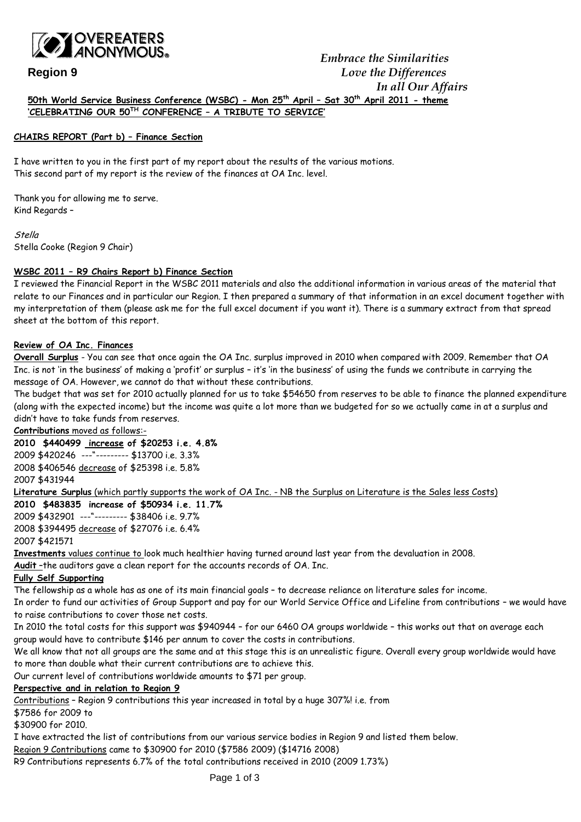

### **CHAIRS REPORT (Part b) – Finance Section**

I have written to you in the first part of my report about the results of the various motions. This second part of my report is the review of the finances at OA Inc. level.

Thank you for allowing me to serve. Kind Regards –

**Stella** Stella Cooke (Region 9 Chair)

## **WSBC 2011 – R9 Chairs Report b) Finance Section**

I reviewed the Financial Report in the WSBC 2011 materials and also the additional information in various areas of the material that relate to our Finances and in particular our Region. I then prepared a summary of that information in an excel document together with my interpretation of them (please ask me for the full excel document if you want it). There is a summary extract from that spread sheet at the bottom of this report.

## **Review of OA Inc. Finances**

**Overall Surplus** - You can see that once again the OA Inc. surplus improved in 2010 when compared with 2009. Remember that OA Inc. is not 'in the business' of making a 'profit' or surplus – it's 'in the business' of using the funds we contribute in carrying the message of OA. However, we cannot do that without these contributions.

The budget that was set for 2010 actually planned for us to take \$54650 from reserves to be able to finance the planned expenditure (along with the expected income) but the income was quite a lot more than we budgeted for so we actually came in at a surplus and didn't have to take funds from reserves.

## **Contributions** moved as follows:-

**2010 \$440499 increase of \$20253 i.e. 4.8%** 2009 \$420246 ---"--------- \$13700 i.e. 3.3% 2008 \$406546 decrease of \$25398 i.e. 5.8% 2007 \$431944

**Literature Surplus** (which partly supports the work of OA Inc. - NB the Surplus on Literature is the Sales less Costs)

**2010 \$483835 increase of \$50934 i.e. 11.7%** 2009 \$432901 ---"--------- \$38406 i.e. 9.7% 2008 \$394495 decrease of \$27076 i.e. 6.4% 2007 \$421571

**Investments** values continue to look much healthier having turned around last year from the devaluation in 2008.

**Audit** –the auditors gave a clean report for the accounts records of OA. Inc.

### **Fully Self Supporting**

The fellowship as a whole has as one of its main financial goals – to decrease reliance on literature sales for income.

In order to fund our activities of Group Support and pay for our World Service Office and Lifeline from contributions – we would have to raise contributions to cover those net costs.

In 2010 the total costs for this support was \$940944 – for our 6460 OA groups worldwide – this works out that on average each group would have to contribute \$146 per annum to cover the costs in contributions.

We all know that not all groups are the same and at this stage this is an unrealistic figure. Overall every group worldwide would have to more than double what their current contributions are to achieve this.

Our current level of contributions worldwide amounts to \$71 per group.

# **Perspective and in relation to Region 9**

Contributions – Region 9 contributions this year increased in total by a huge 307%! i.e. from

\$7586 for 2009 to

\$30900 for 2010.

I have extracted the list of contributions from our various service bodies in Region 9 and listed them below.

Region 9 Contributions came to \$30900 for 2010 (\$7586 2009) (\$14716 2008)

R9 Contributions represents 6.7% of the total contributions received in 2010 (2009 1.73%)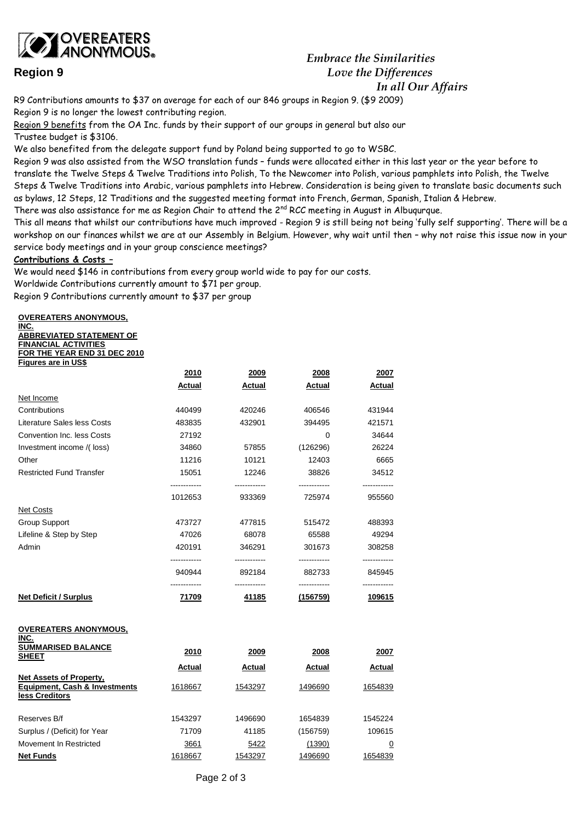

# *Embrace the Similarities* **Region 9** *Love the Differences In all Our Affairs*

R9 Contributions amounts to \$37 on average for each of our 846 groups in Region 9. (\$9 2009)

Region 9 is no longer the lowest contributing region.

Region 9 benefits from the OA Inc. funds by their support of our groups in general but also our Trustee budget is \$3106.

We also benefited from the delegate support fund by Poland being supported to go to WSBC.

Region 9 was also assisted from the WSO translation funds – funds were allocated either in this last year or the year before to translate the Twelve Steps & Twelve Traditions into Polish, To the Newcomer into Polish, various pamphlets into Polish, the Twelve Steps & Twelve Traditions into Arabic, various pamphlets into Hebrew. Consideration is being given to translate basic documents such as bylaws, 12 Steps, 12 Traditions and the suggested meeting format into French, German, Spanish, Italian & Hebrew.

There was also assistance for me as Region Chair to attend the  $2<sup>nd</sup> RCC$  meeting in August in Albugurgue.

This all means that whilst our contributions have much improved - Region 9 is still being not being 'fully self supporting'. There will be a workshop on our finances whilst we are at our Assembly in Belgium. However, why wait until then – why not raise this issue now in your service body meetings and in your group conscience meetings?

## **Contributions & Costs –**

We would need \$146 in contributions from every group world wide to pay for our costs.

Worldwide Contributions currently amount to \$71 per group.

Region 9 Contributions currently amount to \$37 per group

**OVEREATERS ANONYMOUS,** 

**INC. ABBREVIATED STATEMENT OF FINANCIAL ACTIVITIES FOR THE YEAR END 31 DEC 2010** 

| <b>Figures are in US\$</b>                                                                   |                        |                        |                        |                |
|----------------------------------------------------------------------------------------------|------------------------|------------------------|------------------------|----------------|
|                                                                                              | 2010                   | 2009                   | 2008                   | 2007           |
|                                                                                              | Actual                 | Actual                 | Actual                 | <b>Actual</b>  |
| Net Income                                                                                   |                        |                        |                        |                |
| Contributions                                                                                | 440499                 | 420246                 | 406546                 | 431944         |
| Literature Sales less Costs                                                                  | 483835                 | 432901                 | 394495                 | 421571         |
| <b>Convention Inc. less Costs</b>                                                            | 27192                  |                        | 0                      | 34644          |
| Investment income /(loss)                                                                    | 34860                  | 57855                  | (126296)               | 26224          |
| Other                                                                                        | 11216                  | 10121                  | 12403                  | 6665           |
| <b>Restricted Fund Transfer</b>                                                              | 15051                  | 12246                  | 38826                  | 34512          |
|                                                                                              | ----------<br>1012653  | ------------<br>933369 | ------------<br>725974 | 955560         |
| <b>Net Costs</b>                                                                             |                        |                        |                        |                |
| <b>Group Support</b>                                                                         | 473727                 | 477815                 | 515472                 | 488393         |
| Lifeline & Step by Step                                                                      | 47026                  | 68078                  | 65588                  | 49294          |
| Admin                                                                                        | 420191                 | 346291                 | 301673                 | 308258         |
|                                                                                              | ------------<br>940944 | 892184                 | 882733                 | 845945         |
| <b>Net Deficit / Surplus</b>                                                                 | 71709                  | 41185                  | (156759)               | <u> 109615</u> |
| <b>OVEREATERS ANONYMOUS,</b><br>INC.                                                         |                        |                        |                        |                |
| <b>SUMMARISED BALANCE</b><br><b>SHEET</b>                                                    | 2010                   | 2009                   | 2008                   | 2007           |
|                                                                                              | Actual                 | Actual                 | Actual                 | Actual         |
| <b>Net Assets of Property,</b><br><b>Equipment, Cash &amp; Investments</b><br>less Creditors | 1618667                | 1543297                | 1496690                | 1654839        |
| Reserves B/f                                                                                 | 1543297                | 1496690                | 1654839                | 1545224        |
| Surplus / (Deficit) for Year                                                                 | 71709                  | 41185                  | (156759)               | 109615         |

Movement In Restricted **3661** 5422 (1390) 0 **Net Funds** 1618667 1543297 1496690 1654839